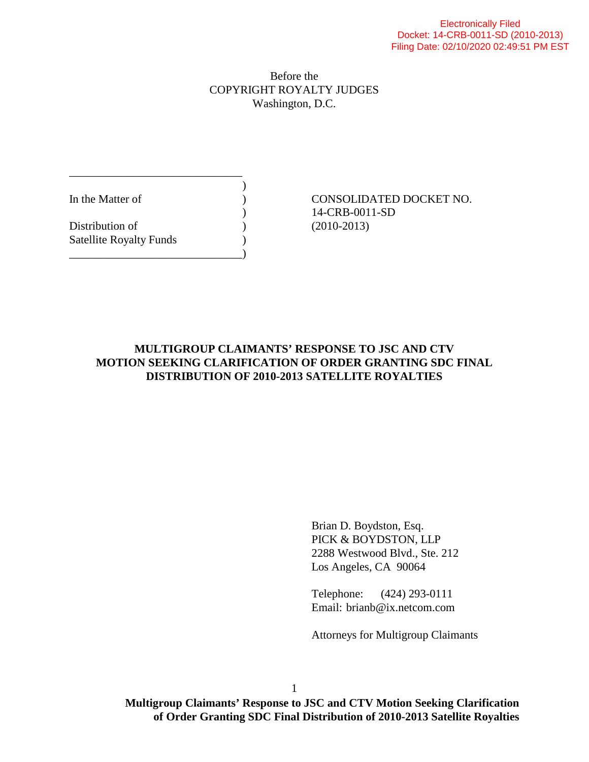## Before the COPYRIGHT ROYALTY JUDGES Washington, D.C.

 $)$ 

Distribution of (2010-2013) Satellite Royalty Funds ) \_\_\_\_\_\_\_\_\_\_\_\_\_\_\_\_\_\_\_\_\_\_\_\_\_\_\_\_\_\_)

\_\_\_\_\_\_\_\_\_\_\_\_\_\_\_\_\_\_\_\_\_\_\_\_\_\_\_\_\_\_

In the Matter of  $\qquad \qquad$   $\qquad \qquad$  CONSOLIDATED DOCKET NO. ) 14-CRB-0011-SD

## **MULTIGROUP CLAIMANTS' RESPONSE TO JSC AND CTV MOTION SEEKING CLARIFICATION OF ORDER GRANTING SDC FINAL DISTRIBUTION OF 2010-2013 SATELLITE ROYALTIES**

 Brian D. Boydston, Esq. PICK & BOYDSTON, LLP 2288 Westwood Blvd., Ste. 212 Los Angeles, CA 90064

 Telephone: (424) 293-0111 Email: brianb@ix.netcom.com

Attorneys for Multigroup Claimants

**Multigroup Claimants' Response to JSC and CTV Motion Seeking Clarification of Order Granting SDC Final Distribution of 2010-2013 Satellite Royalties**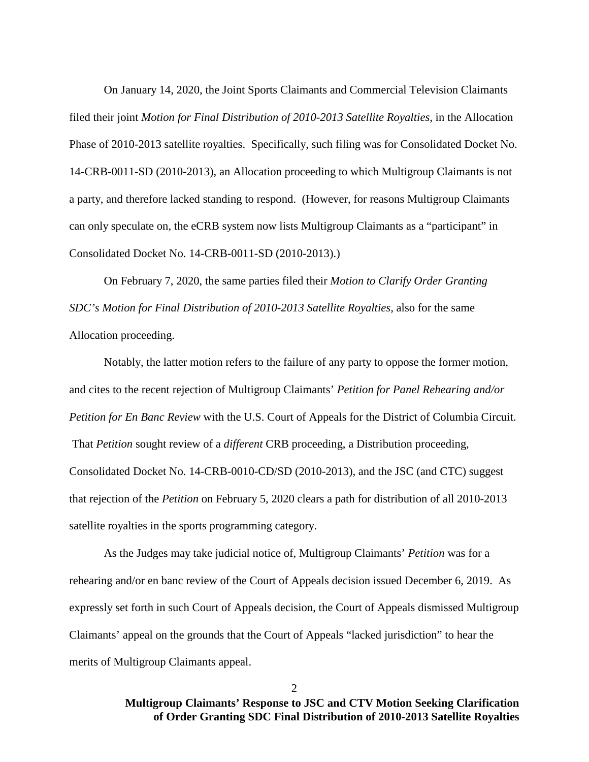On January 14, 2020, the Joint Sports Claimants and Commercial Television Claimants filed their joint *Motion for Final Distribution of 2010-2013 Satellite Royalties*, in the Allocation Phase of 2010-2013 satellite royalties. Specifically, such filing was for Consolidated Docket No. 14-CRB-0011-SD (2010-2013), an Allocation proceeding to which Multigroup Claimants is not a party, and therefore lacked standing to respond. (However, for reasons Multigroup Claimants can only speculate on, the eCRB system now lists Multigroup Claimants as a "participant" in Consolidated Docket No. 14-CRB-0011-SD (2010-2013).)

 On February 7, 2020, the same parties filed their *Motion to Clarify Order Granting SDC's Motion for Final Distribution of 2010-2013 Satellite Royalties*, also for the same Allocation proceeding.

 Notably, the latter motion refers to the failure of any party to oppose the former motion, and cites to the recent rejection of Multigroup Claimants' *Petition for Panel Rehearing and/or Petition for En Banc Review* with the U.S. Court of Appeals for the District of Columbia Circuit. That *Petition* sought review of a *different* CRB proceeding, a Distribution proceeding, Consolidated Docket No. 14-CRB-0010-CD/SD (2010-2013), and the JSC (and CTC) suggest that rejection of the *Petition* on February 5, 2020 clears a path for distribution of all 2010-2013 satellite royalties in the sports programming category.

 As the Judges may take judicial notice of, Multigroup Claimants' *Petition* was for a rehearing and/or en banc review of the Court of Appeals decision issued December 6, 2019. As expressly set forth in such Court of Appeals decision, the Court of Appeals dismissed Multigroup Claimants' appeal on the grounds that the Court of Appeals "lacked jurisdiction" to hear the merits of Multigroup Claimants appeal.

 $\mathcal{D}_{\mathcal{L}}$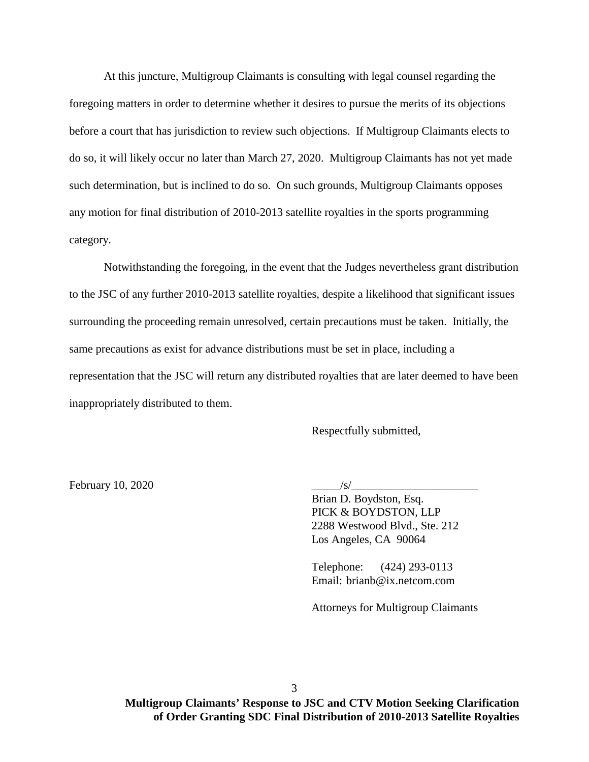At this juncture, Multigroup Claimants is consulting with legal counsel regarding the foregoing matters in order to determine whether it desires to pursue the merits of its objections before a court that has jurisdiction to review such objections. If Multigroup Claimants elects to do so, it will likely occur no later than March 27, 2020. Multigroup Claimants has not yet made such determination, but is inclined to do so. On such grounds, Multigroup Claimants opposes any motion for final distribution of 2010-2013 satellite royalties in the sports programming category.

 Notwithstanding the foregoing, in the event that the Judges nevertheless grant distribution to the JSC of any further 2010-2013 satellite royalties, despite a likelihood that significant issues surrounding the proceeding remain unresolved, certain precautions must be taken. Initially, the same precautions as exist for advance distributions must be set in place, including a representation that the JSC will return any distributed royalties that are later deemed to have been inappropriately distributed to them.

Respectfully submitted,

February 10, 2020  $\sqrt{s/2}$ 

 Brian D. Boydston, Esq. PICK & BOYDSTON, LLP 2288 Westwood Blvd., Ste. 212 Los Angeles, CA 90064

 Telephone: (424) 293-0113 Email: brianb@ix.netcom.com

Attorneys for Multigroup Claimants

**Multigroup Claimants' Response to JSC and CTV Motion Seeking Clarification of Order Granting SDC Final Distribution of 2010-2013 Satellite Royalties**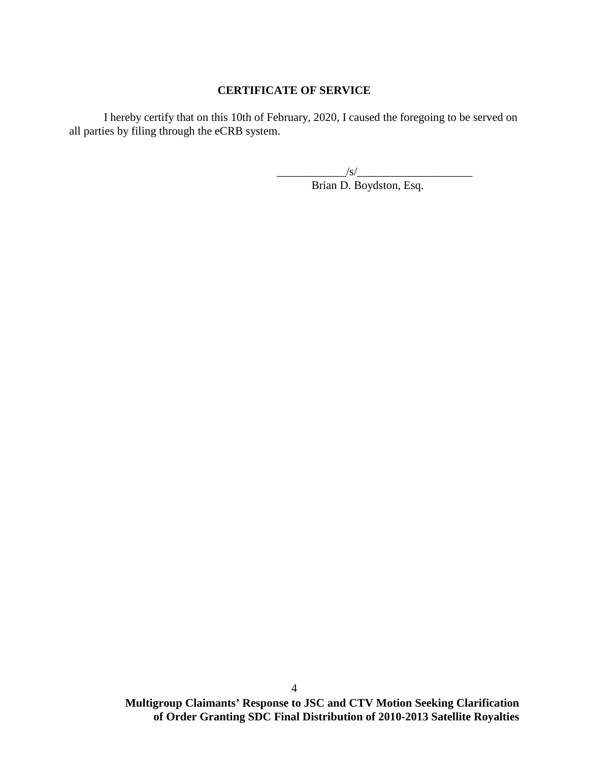## **CERTIFICATE OF SERVICE**

 I hereby certify that on this 10th of February, 2020, I caused the foregoing to be served on all parties by filing through the eCRB system.

 $\frac{1}{\sqrt{S}}$ 

Brian D. Boydston, Esq.